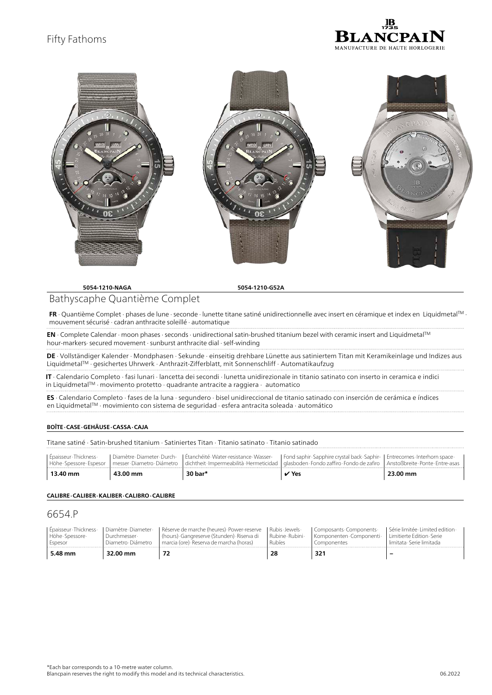# Fifty Fathoms





**5054-1210-NAGA 5054-1210-G52A**

## Bathyscaphe Quantième Complet

**FR** ∙ Quantième Complet ∙ phases de lune ∙ seconde ∙ lunette titane satiné unidirectionnelle avec insert en céramique et index en LiquidmetalTM ∙ mouvement sécurisé ∙ cadran anthracite soleillé ∙ automatique

**EN** ∙ Complete Calendar ∙ moon phases ∙ seconds ∙ unidirectional satin-brushed titanium bezel with ceramic insert and LiquidmetalTM hour-markers∙ secured movement ∙ sunburst anthracite dial ∙ self-winding

**DE** ∙ Vollständiger Kalender ∙ Mondphasen ∙ Sekunde ∙ einseitig drehbare Lünette aus satiniertem Titan mit Keramikeinlage und Indizes aus LiquidmetalTM ∙ gesichertes Uhrwerk ∙ Anthrazit-Zifferblatt, mit Sonnenschliff ∙ Automatikaufzug

**IT** ∙ Calendario Completo ∙ fasi lunari ∙ lancetta dei secondi ∙ lunetta unidirezionale in titanio satinato con inserto in ceramica e indici in LiquidmetalTM ∙ movimento protetto ∙ quadrante antracite a raggiera ∙ automatico

**ES** ∙ Calendario Completo ∙ fases de la luna ∙ segundero ∙ bisel unidireccional de titanio satinado con inserción de cerámica e índices en LiquidmetalTM ∙ movimiento con sistema de seguridad ∙ esfera antracita soleada ∙ automático

### **BOÎTE ∙ CASE ∙ GEHÄUSE ∙ CASSA ∙ CAJA**

Titane satiné ∙ Satin-brushed titanium ∙ Satiniertes Titan ∙ Titanio satinato ∙ Titanio satinado

| I Épaisseur-Thickness- |          |         | Diamètre Diameter Durch-   Étanchéité Water-resistance Wasser-   Fond saphir Sapphire crystal back Saphir-   Entrecornes Interhorn space -<br>Höhe Spessore Espesor   messer Diametro Diámetro   dichtheit Impermeabilità Hermeticidad   glasboden Fondo zaffiro Fondo de zafiro   Anstoßbreite Ponte Entre-asas |          |
|------------------------|----------|---------|------------------------------------------------------------------------------------------------------------------------------------------------------------------------------------------------------------------------------------------------------------------------------------------------------------------|----------|
| 13.40 mm               | 43.00 mm | 30 bar* | $\vee$ Yes                                                                                                                                                                                                                                                                                                       | 23.00 mm |

#### **CALIBRE ∙ CALIBER ∙ KALIBER ∙ CALIBRO ∙ CALIBRE**

## 6654.P

| l Épaisseur-Thickness-<br>Höhe · Spessore ·<br>Espesor | <sup>I</sup> Diamètre Diameter<br>Durchmesser ·<br>Diametro Diámetro | I Réserve de marche (heures) Power-reserve I Rubis Jewels ·<br>  (hours) Gangreserve (Stunden) Riserva di<br>marcia (ore) Reserva de marcha (horas) | Rubine Rubini<br>Rubíes | Composants · Components ·<br>Komponenten Componenti -<br>componentes | I Série limitée I imited edition -<br>l Limitierte Edition Serie<br>Llimitata Serie limitada |
|--------------------------------------------------------|----------------------------------------------------------------------|-----------------------------------------------------------------------------------------------------------------------------------------------------|-------------------------|----------------------------------------------------------------------|----------------------------------------------------------------------------------------------|
| 5.48 mm                                                | 32.00 mm                                                             |                                                                                                                                                     |                         |                                                                      |                                                                                              |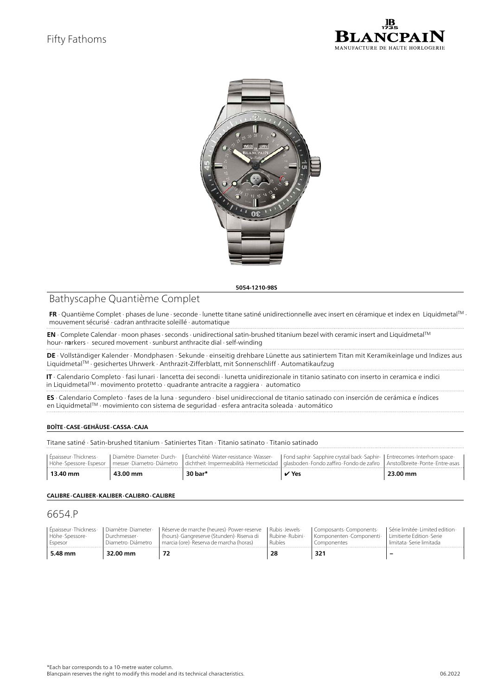



**5054-1210-98S**

# Bathyscaphe Quantième Complet

**FR** ∙ Quantième Complet ∙ phases de lune ∙ seconde ∙ lunette titane satiné unidirectionnelle avec insert en céramique et index en LiquidmetalTM ∙ mouvement sécurisé ∙ cadran anthracite soleillé ∙ automatique

**EN** ∙ Complete Calendar ∙ moon phases ∙ seconds ∙ unidirectional satin-brushed titanium bezel with ceramic insert and LiquidmetalTM hour- markers ∙ secured movement ∙ sunburst anthracite dial ∙ self-winding

**DE** ∙ Vollständiger Kalender ∙ Mondphasen ∙ Sekunde ∙ einseitig drehbare Lünette aus satiniertem Titan mit Keramikeinlage und Indizes aus LiquidmetalTM ∙ gesichertes Uhrwerk ∙ Anthrazit-Zifferblatt, mit Sonnenschliff ∙ Automatikaufzug

**IT** ∙ Calendario Completo ∙ fasi lunari ∙ lancetta dei secondi ∙ lunetta unidirezionale in titanio satinato con inserto in ceramica e indici in LiquidmetalTM ∙ movimento protetto ∙ quadrante antracite a raggiera ∙ automatico

**ES** ∙ Calendario Completo ∙ fases de la luna ∙ segundero ∙ bisel unidireccional de titanio satinado con inserción de cerámica e índices en LiquidmetalTM ∙ movimiento con sistema de seguridad ∙ esfera antracita soleada ∙ automático

### **BOÎTE ∙ CASE ∙ GEHÄUSE ∙ CASSA ∙ CAJA**

Titane satiné ∙ Satin-brushed titanium ∙ Satiniertes Titan ∙ Titanio satinato ∙ Titanio satinado

| I Épaisseur-Thickness- |          |         | Diamètre Diameter Durch-   Étanchéité Water-resistance Wasser-   Fond saphir Sapphire crystal back Saphir-   Entrecornes Interhorn space  <br>Höhe Spessore Espesor I messer Diametro Diámetro I dichtheit Impermeabilità Hermeticidad I glasboden Fondo zaffiro Fondo de zafiro I Anstoßbreite Ponte Entre-asas |          |
|------------------------|----------|---------|------------------------------------------------------------------------------------------------------------------------------------------------------------------------------------------------------------------------------------------------------------------------------------------------------------------|----------|
| 13.40 mm               | 43.00 mm | 30 bar* | $\vee$ Yes                                                                                                                                                                                                                                                                                                       | 23.00 mm |

### **CALIBRE ∙ CALIBER ∙ KALIBER ∙ CALIBRO ∙ CALIBRE**

## 6654.P

| l Épaisseur-Thickness- | l Diamètre Diameter · | I Réserve de marche (heures) Power-reserve I Rubis Jewels · | Rubíes | Composants Components    | I Série limitée I imited edition · |
|------------------------|-----------------------|-------------------------------------------------------------|--------|--------------------------|------------------------------------|
| l Höhe Spessore -      | Durchmesser ·         | (hours) Gangreserve (Stunden) Riserva di   Rubine Rubini -  |        | Komponenten Componenti - | l Limitierte Edition Serie         |
| Espesor                | Diametro Diámetro     | marcia (ore) Reserva de marcha (horas)                      |        | omponentes.              | Llimitata Serie limitada           |
| 5.48 mm                | 32.00 mm              |                                                             |        |                          |                                    |